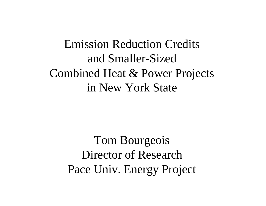Emission Reduction Credits and Smaller-SizedCombined Heat & Power Projects in New York State

> Tom Bourgeois Director of ResearchPace Univ. Energy Project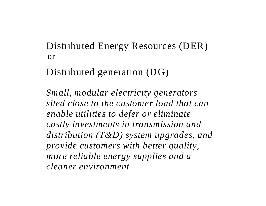Distributed Energy Resources (DER) or

Distributed generation (DG)

*Small, modular electricity generators sited close to the customer load that can enable utilities to defer or eliminate costly investments in transmission and distribution (T&D) system upgrades, and provide customers with better quality, more reliable energy supplies and a cleaner environment*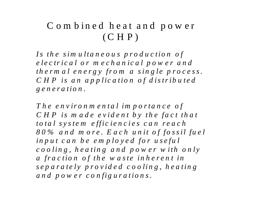#### C om bined heat and pow er  $(CHP)$

*Is the sim ultaneou s production of electrical or m echanical pow er and*  thermal energy from a single process. *C H P is an application of distribu ted g eneration.* 

The environmental importance of CHP is made evident by the fact that *total system efficiencies can reach 80 % and m ore. E ach unit of fossil fuel*  input can be employed for useful *cooling, heating and pow er w ith only a fraction of the w aste inheren t in separately provided cooling, heating and pow er configurations.*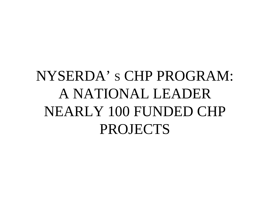# NYSERDA' S CHP PROGRAM: A NATIONAL LEADERNEARLY 100 FUNDED CHP PROJECTS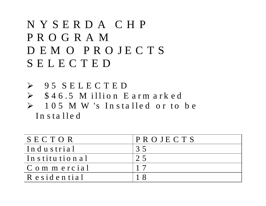### NYSERDA CHP PROGRAM D E M O P R O JE C T S SELECTED

¾ 95 SELECTED  $\triangleright$  \$46.5 M illion Earmarked  $\blacktriangleright$  1 0 5 M W 's In sta lle d <sup>o</sup> r to b <sup>e</sup> In sta lled

| SECTOR              | $\overline{P}R$ O JE C T S |
|---------------------|----------------------------|
| Industrial          | 35                         |
| Institutional       | 25                         |
| C o m m e r c i a l |                            |
| R e sid e n tia l   |                            |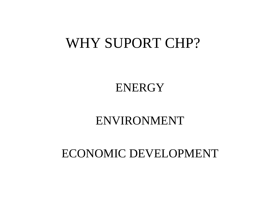## WHY SUPORT CHP?

**ENERGY** 

### ENVIRONMENT

### ECONOMIC DEVELOPMENT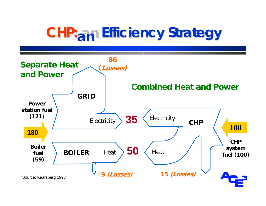# **CHP: an Efficiency Strategy**

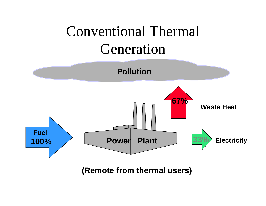# Conventional Thermal Generation



**(Remote from thermal users)**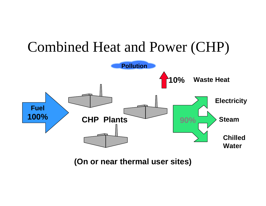

**(On or near thermal user sites)**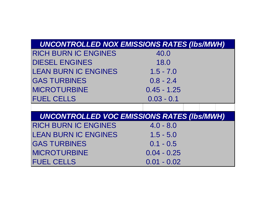| <b>UNCONTROLLED NOX EMISSIONS RATES (Ibs/MWH)</b> |                                                   |  |  |  |  |  |
|---------------------------------------------------|---------------------------------------------------|--|--|--|--|--|
| <b>RICH BURN IC ENGINES</b>                       | 40.0                                              |  |  |  |  |  |
| <b>DIESEL ENGINES</b>                             | 18.0                                              |  |  |  |  |  |
| <b>LEAN BURN IC ENGINES</b>                       | $1.5 - 7.0$                                       |  |  |  |  |  |
| <b>GAS TURBINES</b>                               | $0.8 - 2.4$                                       |  |  |  |  |  |
| <b>MICROTURBINE</b>                               | $0.45 - 1.25$                                     |  |  |  |  |  |
| <b>FUEL CELLS</b>                                 | $0.03 - 0.1$                                      |  |  |  |  |  |
|                                                   |                                                   |  |  |  |  |  |
|                                                   | <b>UNCONTROLLED VOC EMISSIONS RATES (Ibs/MWH)</b> |  |  |  |  |  |
| <b>RICH BURN IC ENGINES</b>                       | $4.0 - 8.0$                                       |  |  |  |  |  |
| <b>LEAN BURN IC ENGINES</b>                       | $1.5 - 5.0$                                       |  |  |  |  |  |
| <b>GAS TURBINES</b>                               | $0.1 - 0.5$                                       |  |  |  |  |  |
| <b>MICROTURBINE</b>                               | $0.04 - 0.25$                                     |  |  |  |  |  |
| <b>FUEL CELLS</b>                                 | $0.01 - 0.02$                                     |  |  |  |  |  |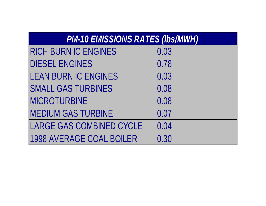| <b>PM-10 EMISSIONS RATES (Ibs/MWH)</b> |  |  |
|----------------------------------------|--|--|
|----------------------------------------|--|--|

| <b>RICH BURN IC ENGINES</b>     | 0.03 |
|---------------------------------|------|
| <b>DIESEL ENGINES</b>           | 0.78 |
| <b>LEAN BURN IC ENGINES</b>     | 0.03 |
| <b>SMALL GAS TURBINES</b>       | 0.08 |
| <b>MICROTURBINE</b>             | 0.08 |
| <b>MEDIUM GAS TURBINE</b>       | 0.07 |
| <b>LARGE GAS COMBINED CYCLE</b> | 0.04 |
| <b>1998 AVERAGE COAL BOILER</b> | 0.30 |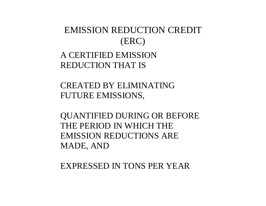#### EMISSION REDUCTION CREDIT(ERC)

#### A CERTIFIED EMISSION REDUCTION THAT IS

CREATED BY ELIMINATING FUTURE EMISSIONS,

QUANTIFIED DURING OR BEFORE THE PERIOD IN WHICH THE EMISSION REDUCTIONS ARE MADE, AND

EXPRESSED IN TONS PER YEAR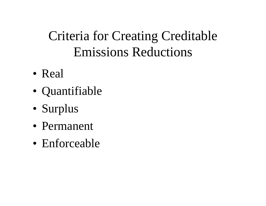## Criteria for Creating Creditable Emissions Reductions

- Real
- Quantifiable
- Surplus
- Permanent
- Enforceable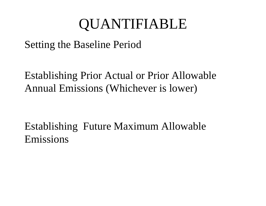# QUANTIFIABLE

### Setting the Baseline Period

Establishing Prior Actual or Prior Allowable Annual Emissions (Whichever is lower)

Establishing Future Maximum Allowable Emissions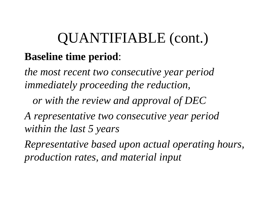# QUANTIFIABLE (cont.) **Baseline time period**:

*the most recent two consecutive year period immediately proceeding the reduction, or with the review and approval of DEC A representative two consecutive year period within the last 5 years Representative based upon actual operating hours,* 

*production rates, and material input*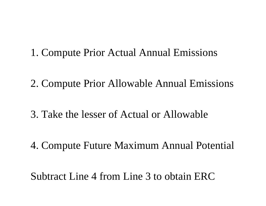### 1. Compute Prior Actual Annual Emissions

2. Compute Prior Allowable Annual Emissions

3. Take the lesser of Actual or Allowable

4. Compute Future Maximum Annual Potential

Subtract Line 4 from Line 3 to obtain ERC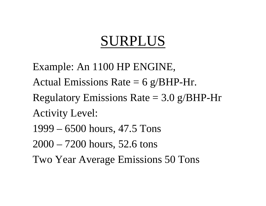# SURPLUS

Example: An 1100 HP ENGINE, Actual Emissions Rate  $= 6$  g/BHP-Hr. Regulatory Emissions Rate  $= 3.0$  g/BHP-Hr Activity Level: 1999 – 6500 hours, 47.5 Tons 2000 – 7200 hours, 52.6 tons Two Year Average Emissions 50 Tons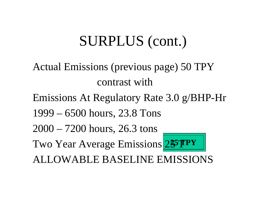# SURPLUS (cont.)

- Actual Emissions (previous page) 50 TPY contrast with
- Emissions At Regulatory Rate 3.0 g/BHP-Hr
- 1999 6500 hours, 23.8 Tons
- 2000 7200 hours, 26.3 tons
- Two Year Average Emissions 255 TPY
- 
- ALLOWABLE BASELINE EMISSIONS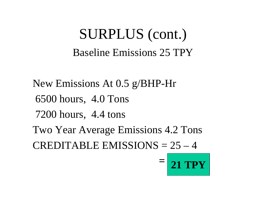## SURPLUS (cont.) Baseline Emissions 25 TPY

New Emissions At 0.5 g/BHP-Hr 6500 hours, 4.0 Tons 7200 hours, 4.4 tons Two Year Average Emissions 4.2 Tons CREDITABLE EMISSIONS  $= 25 - 4$ 

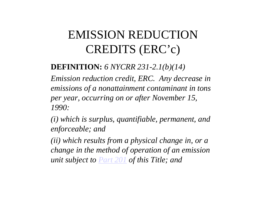## EMISSION REDUCTIONCREDITS (ERC'c)

#### **DEFINITION:** *6 NYCRR 231-2.1(b)(14)*

*Emission reduction credit, ERC. Any decrease in emissions of a nonattainment contaminant in tons per year, occurring on or after November 15, 1990:* 

*(i) which is surplus, quantifiable, permanent, and enforceable; and* 

*(ii) which results from a physical change in, or a change in the method of operation of an emission unit subject to Part 201 of this Title; and*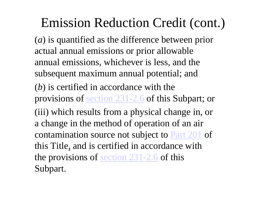## Emission Reduction Credit (cont.)

( *<sup>a</sup>*) is quantified as the difference between prior actual annual emissions or prior allowable annual emissions, whichever is less, and the subsequent maximum annual potential; and ( *b*) is certified in accordance with the provisions of section 231-2.6 of this Subpart; or (iii) which results from a physical change in, or a change in the method of operation of an air contamination source not subject to Part 201 of this Title, and is certified in accordance with the provisions of section 231-2.6 of this Subpart.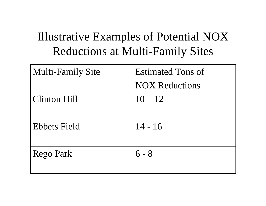## Illustrative Examples of Potential NOX Reductions at Multi-Family Sites

| Multi-Family Site   | <b>Estimated Tons of</b> |
|---------------------|--------------------------|
|                     | <b>NOX Reductions</b>    |
| <b>Clinton Hill</b> | $10 - 12$                |
|                     |                          |
| <b>Ebbets Field</b> | $14 - 16$                |
| Rego Park           | $6 - 8$                  |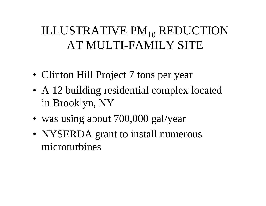## ILLUSTRATIVE PM<sub>10</sub> REDUCTION AT MULTI-FAMILY SITE

- Clinton Hill Project 7 tons per year
- A 12 building residential complex located in Brooklyn, NY
- was using about 700,000 gal/year
- NYSERDA grant to install numerous microturbines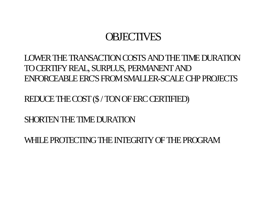### **OBJECTIVES**

#### LOWER THE TRANSACTION COSTS AND THE TIME DURATIONTO CERTIFY REAL, SURPLUS, PERMANENT AND ENFORCEABLE ERC'SFROM SMALLER-SCALE CHP PROJECTS

REDUCE THE COST(\$ / TONOF ERC CERTIFIED)

SHORTEN THE TIME DURATION

WHILE PROTECTING THE INTEGRITY OF THE PROGRAM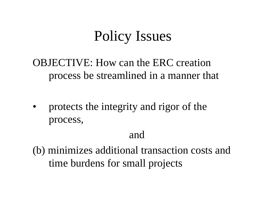# Policy Issues

OBJECTIVE: How can the ERC creation process be streamlined in a manner that

• protects the integrity and rigor of the process,

### and

(b) minimizes additional transaction costs and time burdens for small projects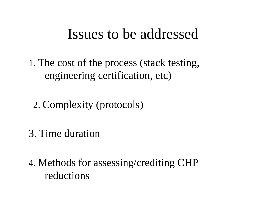## Issues to be addressed

1. The cost of the process (stack testing, engineering certification, etc)

2. Complexity (protocols)

3. Time duration

4. Methods for assessing/crediting CHP reductions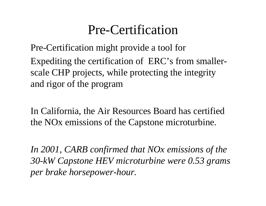## Pre-Certification

Pre-Certification might provide a tool for Expediting the certification of ERC's from smallerscale CHP projects, while protecting the integrity and rigor of the program

In California, the Air Resources Board has certified the NOx emissions of the Capstone microturbine.

*In 2001, CARB confirmed that NOx emissions of the 30-kW Capstone HEV microturbine were 0.53 grams per brake horsepower-hour.*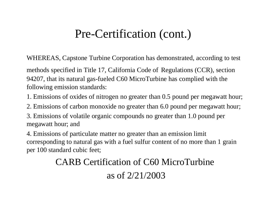### Pre-Certification (cont.)

WHEREAS, Capstone Turbine Corporation has demonstrated, according to test

methods specified in Title 17, California Code of Regulations (CCR), section 94207, that its natural gas-fueled C60 MicroTurbine has complied with the following emission standards:

- 1. Emissions of oxides of nitrogen no greater than 0.5 pound per megawatt hour;
- 2. Emissions of carbon monoxide no greater than 6.0 pound per megawatt hour;

3. Emissions of volatile organic compounds no greater than 1.0 pound per megawatt hour; and

4. Emissions of particulate matter no greater than an emission limit corresponding to natural gas with a fuel sulfur content of no more than 1 grain per 100 standard cubic feet;

### CARB Certification of C60 MicroTurbine

#### as of 2/21/2003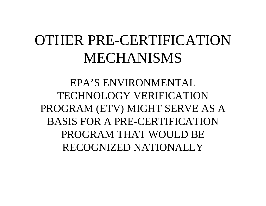# OTHER PRE-CERTIFICATIONMECHANISMS

EPA'S ENVIRONMENTALTECHNOLOGY VERIFICATIONPROGRAM (ETV) MIGHT SERVE AS A BASIS FOR A PRE-CERTIFICATIONPROGRAM THAT WOULD BERECOGNIZED NATIONALLY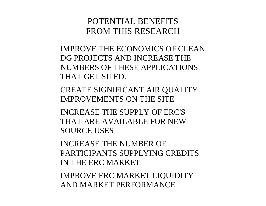#### POTENTIAL BENEFITSFROM THIS RESEARCH

IMPROVE THE ECONOMICS OF CLEAN DG PROJECTS AND INCREASE THE NUMBERS OF THESE APPLICATIONS THAT GET SITED.

CREATE SIGNIFICANT AIR QUALITY IMPROVEMENTS ON THE SITE

INCREASE THE SUPPLY OF ERC'S THAT ARE AVAILABLE FOR NEW SOURCE USES

INCREASE THE NUMBER OF PARTICIPANTS SUPPLYING CREDITS IN THE ERC MARKET

IMPROVE ERC MARKET LIQUIDITY AND MARKET PERFORMANCE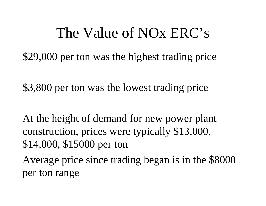## The Value of NOx ERC's

\$29,000 per ton was the highest trading price

\$3,800 per ton was the lowest trading price

At the height of demand for new power plant construction, prices were typically \$13,000, \$14,000, \$15000 per ton

Average price since trading began is in the \$8000 per ton range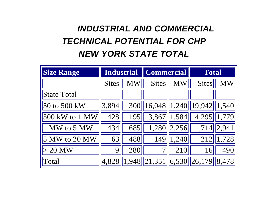### *INDUSTRIAL AND COMMERCIAL TECHNICAL POTENTIAL FOR CHP NEW YORK STATE TOTAL*

| <b>Size Range</b>  | <b>Industrial</b> |     | <b>Commercial</b>                                                            |                            | <b>Total</b> |                        |
|--------------------|-------------------|-----|------------------------------------------------------------------------------|----------------------------|--------------|------------------------|
|                    | <b>Sites</b>      | МW  | <b>Sites</b>                                                                 | $\boldsymbol{\mathrm{MW}}$ | <b>Sites</b> | $\mathbf{M}\mathbf{W}$ |
| <b>State Total</b> |                   |     |                                                                              |                            |              |                        |
| 50 to 500 kW       | 3,894             |     | 300   16,048   1,240   19,942   1,540                                        |                            |              |                        |
| 500 kW to 1 MW     | 428               | 195 |                                                                              | $3,867$   1,584            | 4,295 1,779  |                        |
| 1 MW to 5 MW       | 434               | 685 | 1,280                                                                        | $\vert 2, 256 \vert \vert$ | 1,714        | 2,941                  |
| 5 MW to 20 MW      | 63                | 488 | 149                                                                          | 1,240                      | 212          | 1,728                  |
| $> 20$ MW          | 9                 | 280 |                                                                              | 210                        | 16           | 490                    |
| Total              | 4,828             |     | $\left 1,948\right \left 21,351\right \left 6,530\right \left 26,179\right $ |                            |              | 8,478                  |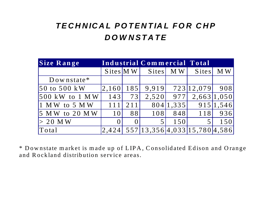#### *TECHNICAL POTENTIAL FOR CHPDOWNSTATE*

| Size Range       | Industrial Commercial Total |     |                                       |           |                |           |
|------------------|-----------------------------|-----|---------------------------------------|-----------|----------------|-----------|
|                  | $S$ ites $\vert$ MW $\vert$ |     | Sites                                 | M W       | <b>Sites</b>   | M W       |
| $Down state*$    |                             |     |                                       |           |                |           |
| 50 to 500 kW     | 2,160                       | 185 | 9,919                                 |           | 723 12,079 908 |           |
| $500$ kW to 1 MW | 143                         | 73  | 2,520                                 | 977       | 2,663 1,050    |           |
| $1$ MW to 5 MW   | 111                         | 211 |                                       | 804 1,335 |                | 915 1,546 |
| $5$ MW to 20 MW  | 101                         | 881 | 108                                   | 848       | 118            | 936       |
| $> 20$ MW        |                             |     |                                       | 150       |                | 150       |
| Total            | 2,424                       |     | 557   13,356   4,033   15,780   4,586 |           |                |           |

\* Downstate market is made up of LIPA, Consolidated Edison and Orange and Rockland distribution service areas.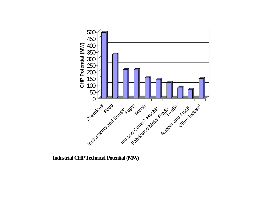

 **Industrial CHP Technical Potential (MW)**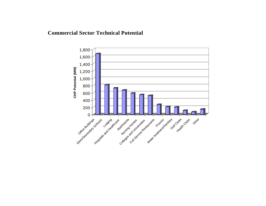#### **Commercial Sector Technical Potential**

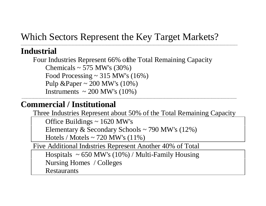#### Which Sectors Represent the Key Target Markets?

\_\_\_\_\_\_\_\_\_\_\_\_\_\_\_\_\_\_\_\_\_\_\_\_\_\_\_\_\_\_\_\_\_\_\_\_\_\_\_\_\_\_\_\_\_\_\_\_\_\_\_\_\_\_\_\_\_\_\_\_\_\_\_\_\_\_\_\_\_\_\_\_\_\_\_\_\_\_\_\_\_\_\_\_\_\_\_\_\_\_\_\_\_\_\_\_\_\_\_\_\_\_\_\_\_\_\_\_\_\_\_\_\_\_\_\_\_\_\_\_\_\_\_\_\_\_\_\_\_

#### **Industrial**

Four Industries Represent 66% of the Total Remaining Capacity Chemicals  $\sim$  575 MW's (30%) Food Processing  $\sim$  315 MW's (16%) Pulp &Paper  $\sim 200$  MW's (10%) Instruments  $\sim 200$  MW's (10%)

#### **Commercial / Institutional**

Three Industries Represent about 50% of the Total Remaining Capacity

Office Buildings  $\sim$  1620 MW's

Elementary & Secondary Schools ~ 790 MW's (12%)

Hotels / Motels  $\sim$  720 MW's (11%)

Five Additional Industries Represent Another 40% of Total

Hospitals  $\sim 650$  MW's (10%) / Multi-Family Housing Nursing Homes / Colleges

Restaurants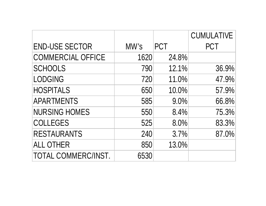|                            |      |            | <b>CUMULATIVE</b> |
|----------------------------|------|------------|-------------------|
| <b>END-USE SECTOR</b>      | MW's | <b>PCT</b> | <b>PCT</b>        |
| <b>COMMERCIAL OFFICE</b>   | 1620 | 24.8%      |                   |
| <b>SCHOOLS</b>             | 790  | 12.1%      | 36.9%             |
| <b>LODGING</b>             | 720  | 11.0%      | 47.9%             |
| <b>HOSPITALS</b>           | 650  | 10.0%      | 57.9%             |
| <b>APARTMENTS</b>          | 585  | 9.0%       | 66.8%             |
| <b>NURSING HOMES</b>       | 550  | 8.4%       | 75.3%             |
| <b>COLLEGES</b>            | 525  | 8.0%       | 83.3%             |
| <b>RESTAURANTS</b>         | 240  | 3.7%       | 87.0%             |
| <b>ALL OTHER</b>           | 850  | 13.0%      |                   |
| <b>TOTAL COMMERC/INST.</b> | 6530 |            |                   |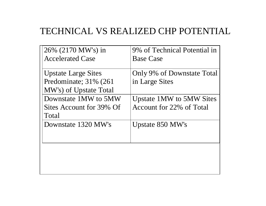#### TECHNICAL VS REALIZED CHP POTENTIAL

| 26% (2170 MW's) in                                        | 9% of Technical Potential in                                |
|-----------------------------------------------------------|-------------------------------------------------------------|
| <b>Accelerated Case</b>                                   | <b>Base Case</b>                                            |
| <b>Upstate Large Sites</b><br>Predominate; 31% (261)      | Only 9% of Downstate Total<br>in Large Sites                |
| MW's) of Upstate Total                                    |                                                             |
| Downstate 1MW to 5MW<br>Sites Account for 39% Of<br>Total | <b>Upstate 1MW to 5MW Sites</b><br>Account for 22% of Total |
| Downstate 1320 MW's                                       | Upstate 850 MW's                                            |
|                                                           |                                                             |
|                                                           |                                                             |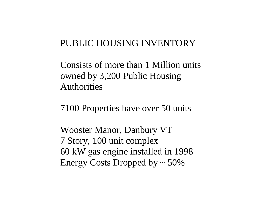#### PUBLIC HOUSING INVENTORY

Consists of more than 1 Million units owned by 3,200 Public Housing Authorities

7100 Properties have over 50 units

Wooster Manor, Danbury VT 7 Story, 100 unit complex 60 kW gas engine installed in 1998 Energy Costs Dropped by  $\sim$  50%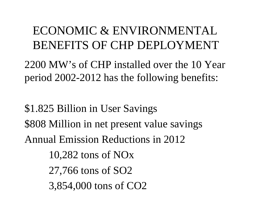### ECONOMIC & ENVIRONMENTALBENEFITS OF CHP DEPLOYMENT

2200 MW's of CHP installed over the 10 Year period 2002-2012 has the following benefits:

\$1.825 Billion in User Savings \$808 Million in net present value savings Annual Emission Reductions in 2012 10,282 tons of NOx 27,766 tons of SO2 3,854,000 tons of CO2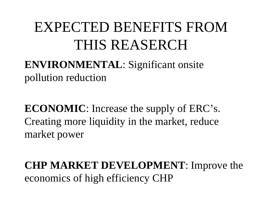# EXPECTED BENEFITS FROMTHIS REASERCH

### **ENVIRONMENTAL**: Significant onsite pollution reduction

**ECONOMIC**: Increase the supply of ERC's. Creating more liquidity in the market, reduce market power

### **CHP MARKET DEVELOPMENT**: Improve the economics of high efficiency CHP